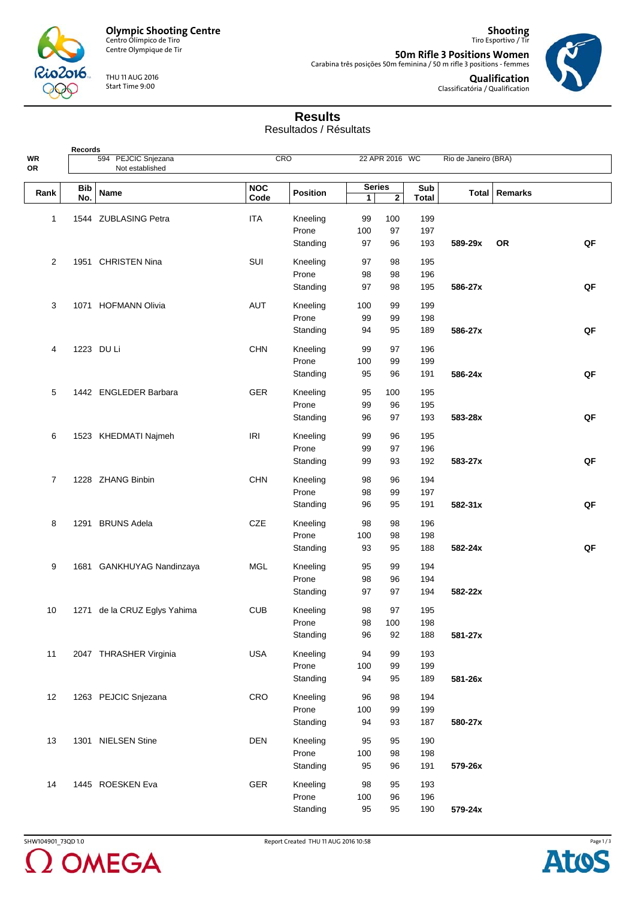

**Records**

Centre Olympique de Tir

THU 11 AUG 2016 Start Time 9:00

**50m Rifle 3 Positions Women** Carabina três posições 50m feminina / 50 m rifle 3 positions - femmes



**Qualification** Classificatória / Qualification

**Shooting** Tiro Esportivo / Tir

## **Results**

Resultados / Résultats

| WR<br>OR       |                   | 594 PEJCIC Snjezana<br>Not established |                    | CRO               |                    | 22 APR 2016 WC |              | Rio de Janeiro (BRA) |                 |    |
|----------------|-------------------|----------------------------------------|--------------------|-------------------|--------------------|----------------|--------------|----------------------|-----------------|----|
|                |                   |                                        |                    |                   |                    |                |              |                      |                 |    |
| Rank           | <b>Bib</b><br>No. | Name                                   | <b>NOC</b><br>Code | <b>Position</b>   | <b>Series</b><br>1 | $\mathbf{2}$   | Sub<br>Total |                      | Total   Remarks |    |
| 1              |                   | 1544 ZUBLASING Petra                   | <b>ITA</b>         | Kneeling          | 99                 | 100            | 199          |                      |                 |    |
|                |                   |                                        |                    | Prone             | 100                | 97             | 197          |                      |                 |    |
|                |                   |                                        |                    | Standing          | 97                 | 96             | 193          | 589-29x              | <b>OR</b>       | QF |
| $\overline{2}$ |                   | 1951 CHRISTEN Nina                     | SUI                | Kneeling          | 97                 | 98             | 195          |                      |                 |    |
|                |                   |                                        |                    | Prone             | 98                 | 98             | 196          |                      |                 |    |
|                |                   |                                        |                    | Standing          | 97                 | 98             | 195          | 586-27x              |                 | QF |
| 3              |                   | 1071 HOFMANN Olivia                    | AUT                | Kneeling          | 100                | 99             | 199          |                      |                 |    |
|                |                   |                                        |                    | Prone             | 99                 | 99             | 198          |                      |                 |    |
|                |                   |                                        |                    | Standing          | 94                 | 95             | 189          | 586-27x              |                 | QF |
|                |                   |                                        |                    |                   |                    |                |              |                      |                 |    |
| 4              |                   | 1223 DU Li                             | <b>CHN</b>         | Kneeling          | 99                 | 97             | 196          |                      |                 |    |
|                |                   |                                        |                    | Prone             | 100                | 99             | 199          |                      |                 |    |
|                |                   |                                        |                    | Standing          | 95                 | 96             | 191          | 586-24x              |                 | QF |
| 5              |                   | 1442 ENGLEDER Barbara                  | <b>GER</b>         | Kneeling          | 95                 | 100            | 195          |                      |                 |    |
|                |                   |                                        |                    | Prone             | 99                 | 96             | 195          |                      |                 |    |
|                |                   |                                        |                    | Standing          | 96                 | 97             | 193          | 583-28x              |                 | QF |
| 6              |                   | 1523 KHEDMATI Najmeh                   | <b>IRI</b>         | Kneeling          | 99                 | 96             | 195          |                      |                 |    |
|                |                   |                                        |                    | Prone             | 99                 | 97             | 196          |                      |                 |    |
|                |                   |                                        |                    | Standing          | 99                 | 93             | 192          | 583-27x              |                 | QF |
| 7              |                   | 1228 ZHANG Binbin                      | CHN                | Kneeling          | 98                 | 96             | 194          |                      |                 |    |
|                |                   |                                        |                    | Prone             | 98                 | 99             | 197          |                      |                 |    |
|                |                   |                                        |                    | Standing          | 96                 | 95             | 191          | 582-31x              |                 | QF |
|                |                   |                                        |                    |                   |                    |                |              |                      |                 |    |
| 8              |                   | 1291 BRUNS Adela                       | CZE                | Kneeling<br>Prone | 98<br>100          | 98<br>98       | 196<br>198   |                      |                 |    |
|                |                   |                                        |                    | Standing          | 93                 | 95             | 188          | 582-24x              |                 | QF |
|                |                   |                                        |                    |                   |                    |                |              |                      |                 |    |
| 9              |                   | 1681 GANKHUYAG Nandinzaya              | <b>MGL</b>         | Kneeling          | 95                 | 99             | 194          |                      |                 |    |
|                |                   |                                        |                    | Prone             | 98                 | 96             | 194          |                      |                 |    |
|                |                   |                                        |                    | Standing          | 97                 | 97             | 194          | 582-22x              |                 |    |
| 10             |                   | 1271 de la CRUZ Eglys Yahima           | <b>CUB</b>         | Kneeling          | 98                 | 97             | 195          |                      |                 |    |
|                |                   |                                        |                    | Prone             | 98                 | 100            | 198          |                      |                 |    |
|                |                   |                                        |                    | Standing          | 96                 | 92             | 188          | 581-27x              |                 |    |
| 11             |                   | 2047 THRASHER Virginia                 | <b>USA</b>         | Kneeling          | 94                 | 99             | 193          |                      |                 |    |
|                |                   |                                        |                    | Prone             | 100                | 99             | 199          |                      |                 |    |
|                |                   |                                        |                    | Standing          | 94                 | 95             | 189          | 581-26x              |                 |    |
| 12             |                   | 1263 PEJCIC Snjezana                   | CRO                | Kneeling          | 96                 | 98             | 194          |                      |                 |    |
|                |                   |                                        |                    | Prone             | 100                | 99             | 199          |                      |                 |    |
|                |                   |                                        |                    | Standing          | 94                 | 93             | 187          | 580-27x              |                 |    |
|                |                   |                                        | <b>DEN</b>         |                   |                    |                |              |                      |                 |    |
| 13             |                   | 1301 NIELSEN Stine                     |                    | Kneeling<br>Prone | 95<br>100          | 95<br>98       | 190<br>198   |                      |                 |    |
|                |                   |                                        |                    | Standing          | 95                 | 96             | 191          | 579-26x              |                 |    |
|                |                   |                                        |                    |                   |                    |                |              |                      |                 |    |
| 14             |                   | 1445 ROESKEN Eva                       | <b>GER</b>         | Kneeling          | 98                 | 95             | 193          |                      |                 |    |
|                |                   |                                        |                    | Prone             | 100                | 96             | 196          |                      |                 |    |
|                |                   |                                        |                    | Standing          | 95                 | 95             | 190          | 579-24x              |                 |    |

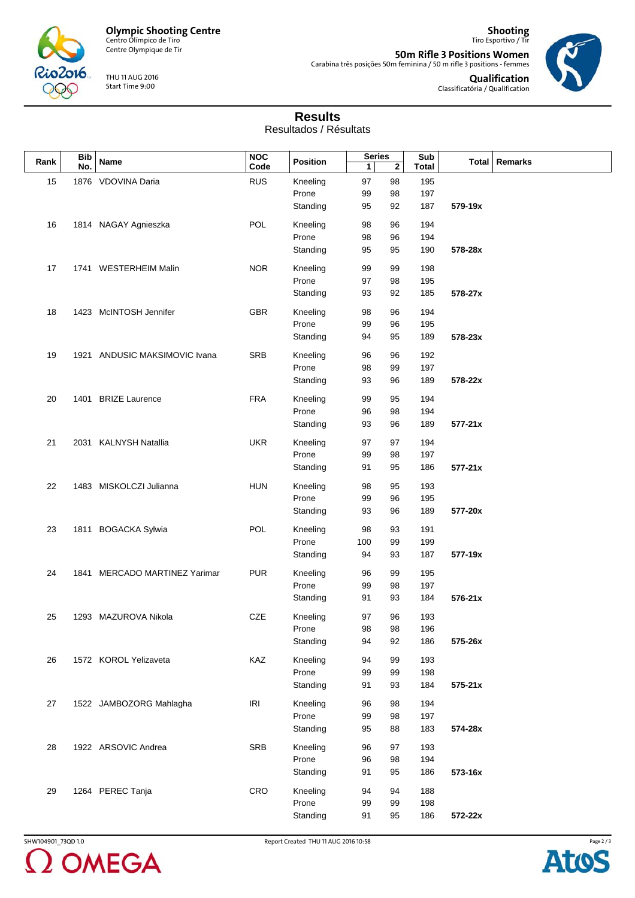

Centre Olympique de Tir

THU 11 AUG 2016 Start Time 9:00

**Shooting** Tiro Esportivo / Tir **50m Rifle 3 Positions Women** Carabina três posições 50m feminina / 50 m rifle 3 positions - femmes



**Qualification** Classificatória / Qualification

## **Results**

Resultados / Résultats

| <b>Bib</b><br>Rank |   | Name                          | <b>NOC</b><br>Code                | <b>Position</b> | <b>Series</b> |              | Sub |                 |  |
|--------------------|---|-------------------------------|-----------------------------------|-----------------|---------------|--------------|-----|-----------------|--|
| No.                | 1 |                               |                                   |                 | $\mathbf{2}$  | <b>Total</b> |     | Total   Remarks |  |
| 15                 |   | 1876 VDOVINA Daria            | <b>RUS</b>                        | Kneeling        | 97            | 98           | 195 |                 |  |
|                    |   |                               |                                   | Prone           | 99            | 98           | 197 |                 |  |
|                    |   |                               |                                   | Standing        | 95            | 92           | 187 | 579-19x         |  |
|                    |   |                               |                                   |                 |               |              |     |                 |  |
| 16                 |   | 1814 NAGAY Agnieszka          | <b>POL</b>                        | Kneeling        | 98            | 96           | 194 |                 |  |
|                    |   |                               |                                   | Prone           | 98            | 96           | 194 |                 |  |
|                    |   |                               |                                   | Standing        | 95            | 95           | 190 | 578-28x         |  |
|                    |   |                               |                                   |                 |               |              |     |                 |  |
| 17                 |   | 1741 WESTERHEIM Malin         | <b>NOR</b>                        | Kneeling        | 99            | 99           | 198 |                 |  |
|                    |   |                               |                                   | Prone           | 97            | 98           | 195 |                 |  |
|                    |   |                               |                                   | Standing        | 93            | 92           | 185 | 578-27x         |  |
|                    |   |                               |                                   |                 |               |              |     |                 |  |
| 18                 |   | 1423 McINTOSH Jennifer        | GBR                               | Kneeling        | 98            | 96           | 194 |                 |  |
|                    |   |                               |                                   | Prone           | 99            | 96           | 195 |                 |  |
|                    |   |                               |                                   | Standing        | 94            | 95           | 189 | 578-23x         |  |
| 19                 |   | 1921 ANDUSIC MAKSIMOVIC Ivana | SRB                               | Kneeling        | 96            | 96           | 192 |                 |  |
|                    |   |                               |                                   | Prone           | 98            | 99           | 197 |                 |  |
|                    |   |                               |                                   |                 |               |              |     |                 |  |
|                    |   |                               |                                   | Standing        | 93            | 96           | 189 | 578-22x         |  |
| 20                 |   | 1401 BRIZE Laurence           | <b>FRA</b>                        | Kneeling        | 99            | 95           | 194 |                 |  |
|                    |   |                               |                                   | Prone           | 96            | 98           | 194 |                 |  |
|                    |   |                               |                                   | Standing        | 93            | 96           | 189 | 577-21x         |  |
|                    |   |                               |                                   |                 |               |              |     |                 |  |
| 21                 |   | 2031 KALNYSH Natallia         | <b>UKR</b>                        | Kneeling        | 97            | 97           | 194 |                 |  |
|                    |   |                               |                                   | Prone           | 99            | 98           | 197 |                 |  |
|                    |   |                               |                                   | Standing        | 91            | 95           | 186 | $577 - 21x$     |  |
|                    |   |                               |                                   |                 |               |              |     |                 |  |
| 22                 |   | 1483 MISKOLCZI Julianna       | <b>HUN</b>                        | Kneeling        | 98            | 95           | 193 |                 |  |
|                    |   |                               |                                   | Prone           | 99            | 96           | 195 |                 |  |
|                    |   |                               |                                   | Standing        | 93            | 96           | 189 | 577-20x         |  |
|                    |   |                               |                                   |                 |               |              |     |                 |  |
| 23                 |   | 1811 BOGACKA Sylwia           | POL                               | Kneeling        | 98            | 93           | 191 |                 |  |
|                    |   |                               |                                   | Prone           | 100           | 99           | 199 |                 |  |
|                    |   |                               |                                   | Standing        | 94            | 93           | 187 | 577-19x         |  |
| 24                 |   | 1841 MERCADO MARTINEZ Yarimar | <b>PUR</b>                        | Kneeling        | 96            | 99           | 195 |                 |  |
|                    |   |                               |                                   | Prone           |               |              |     |                 |  |
|                    |   |                               |                                   |                 | 99            | 98           | 197 |                 |  |
|                    |   |                               |                                   | Standing        | 91            | 93           | 184 | 576-21x         |  |
| 25                 |   | 1293 MAZUROVA Nikola          | CZE                               | Kneeling        | 97            | 96           | 193 |                 |  |
|                    |   |                               |                                   | Prone           | 98            | 98           | 196 |                 |  |
|                    |   |                               |                                   | Standing        | 94            | 92           | 186 | 575-26x         |  |
|                    |   |                               |                                   |                 |               |              |     |                 |  |
| 26                 |   | 1572 KOROL Yelizaveta         | KAZ                               | Kneeling        | 94            | 99           | 193 |                 |  |
|                    |   |                               |                                   | Prone           | 99            | 99           | 198 |                 |  |
|                    |   |                               |                                   | Standing        | 91            | 93           | 184 | $575 - 21x$     |  |
|                    |   |                               |                                   |                 |               |              |     |                 |  |
| 27                 |   | 1522 JAMBOZORG Mahlagha       | $\ensuremath{\mathsf{IR}}\xspace$ | Kneeling        | 96            | 98           | 194 |                 |  |
|                    |   |                               |                                   | Prone           | 99            | 98           | 197 |                 |  |
|                    |   |                               |                                   | Standing        | 95            | 88           | 183 | 574-28x         |  |
|                    |   |                               |                                   |                 |               |              |     |                 |  |
| 28                 |   | 1922 ARSOVIC Andrea           | SRB                               | Kneeling        | 96            | 97           | 193 |                 |  |
|                    |   |                               |                                   | Prone           | 96            | 98           | 194 |                 |  |
|                    |   |                               |                                   | Standing        | 91            | 95           | 186 | 573-16x         |  |
| 29                 |   | 1264 PEREC Tanja              | CRO                               | Kneeling        | 94            | 94           | 188 |                 |  |
|                    |   |                               |                                   | Prone           | 99            | 99           | 198 |                 |  |
|                    |   |                               |                                   |                 |               |              |     |                 |  |
|                    |   |                               |                                   | Standing        | 91            | 95           | 186 | 572-22x         |  |



SHW104901\_73QD 1.0 Report Created THU 11 AUG 2016 10:58